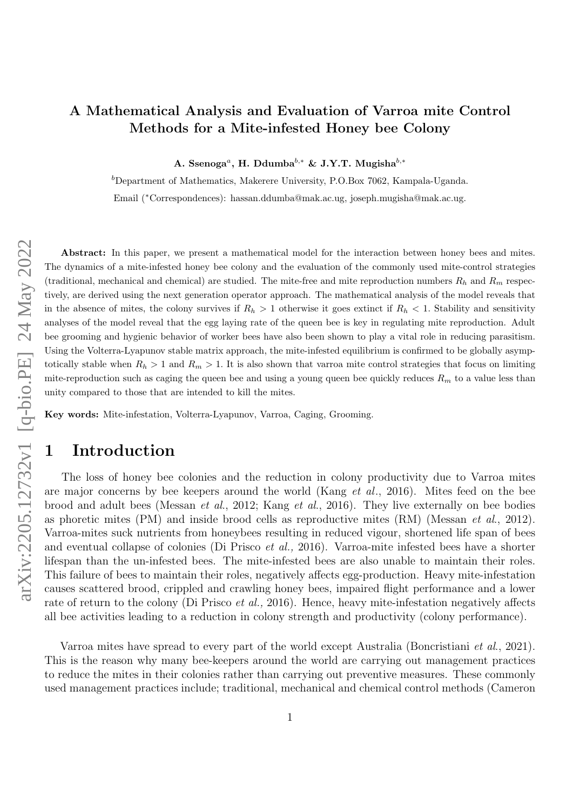# A Mathematical Analysis and Evaluation of Varroa mite Control Methods for a Mite-infested Honey bee Colony

A. Ssenoga<sup>*a*</sup>, H. Ddumba<sup>b,\*</sup> & J.Y.T. Mugisha<sup>b,\*</sup>

 $b$ Department of Mathematics, Makerere University, P.O.Box 7062, Kampala-Uganda.

Email (∗Correspondences): hassan.ddumba@mak.ac.ug, joseph.mugisha@mak.ac.ug.

Abstract: In this paper, we present a mathematical model for the interaction between honey bees and mites. The dynamics of a mite-infested honey bee colony and the evaluation of the commonly used mite-control strategies (traditional, mechanical and chemical) are studied. The mite-free and mite reproduction numbers  $R_h$  and  $R_m$  respectively, are derived using the next generation operator approach. The mathematical analysis of the model reveals that in the absence of mites, the colony survives if  $R_h > 1$  otherwise it goes extinct if  $R_h < 1$ . Stability and sensitivity analyses of the model reveal that the egg laying rate of the queen bee is key in regulating mite reproduction. Adult bee grooming and hygienic behavior of worker bees have also been shown to play a vital role in reducing parasitism. Using the Volterra-Lyapunov stable matrix approach, the mite-infested equilibrium is confirmed to be globally asymptotically stable when  $R_h > 1$  and  $R_m > 1$ . It is also shown that varroa mite control strategies that focus on limiting mite-reproduction such as caging the queen bee and using a young queen bee quickly reduces  $R_m$  to a value less than unity compared to those that are intended to kill the mites.

Key words: Mite-infestation, Volterra-Lyapunov, Varroa, Caging, Grooming.

# 1 Introduction

The loss of honey bee colonies and the reduction in colony productivity due to Varroa mites are major concerns by bee keepers around the world (Kang et al., 2016). Mites feed on the bee brood and adult bees (Messan et al., 2012; Kang et al., 2016). They live externally on bee bodies as phoretic mites (PM) and inside brood cells as reproductive mites (RM) (Messan et al., 2012). Varroa-mites suck nutrients from honeybees resulting in reduced vigour, shortened life span of bees and eventual collapse of colonies (Di Prisco et al., 2016). Varroa-mite infested bees have a shorter lifespan than the un-infested bees. The mite-infested bees are also unable to maintain their roles. This failure of bees to maintain their roles, negatively affects egg-production. Heavy mite-infestation causes scattered brood, crippled and crawling honey bees, impaired flight performance and a lower rate of return to the colony (Di Prisco *et al.*, 2016). Hence, heavy mite-infestation negatively affects all bee activities leading to a reduction in colony strength and productivity (colony performance).

Varroa mites have spread to every part of the world except Australia (Boncristiani et al., 2021). This is the reason why many bee-keepers around the world are carrying out management practices to reduce the mites in their colonies rather than carrying out preventive measures. These commonly used management practices include; traditional, mechanical and chemical control methods (Cameron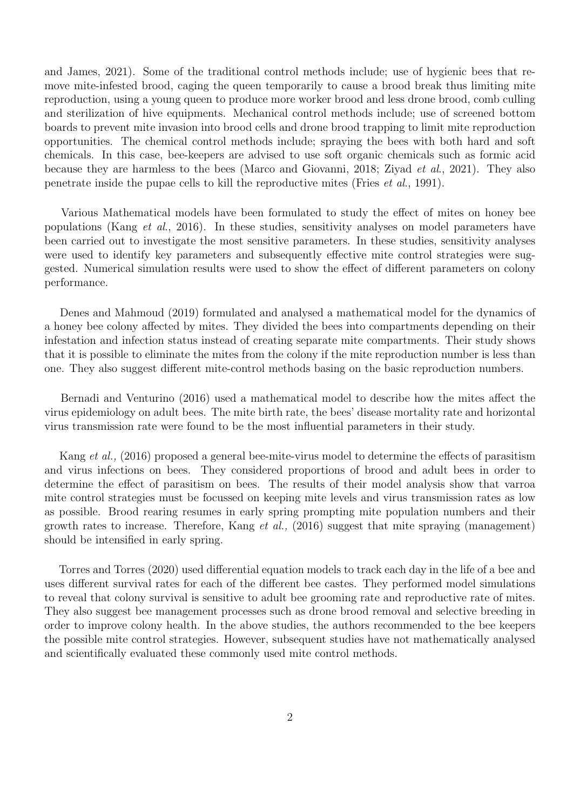and James, 2021). Some of the traditional control methods include; use of hygienic bees that remove mite-infested brood, caging the queen temporarily to cause a brood break thus limiting mite reproduction, using a young queen to produce more worker brood and less drone brood, comb culling and sterilization of hive equipments. Mechanical control methods include; use of screened bottom boards to prevent mite invasion into brood cells and drone brood trapping to limit mite reproduction opportunities. The chemical control methods include; spraying the bees with both hard and soft chemicals. In this case, bee-keepers are advised to use soft organic chemicals such as formic acid because they are harmless to the bees (Marco and Giovanni, 2018; Ziyad et al., 2021). They also penetrate inside the pupae cells to kill the reproductive mites (Fries et al., 1991).

Various Mathematical models have been formulated to study the effect of mites on honey bee populations (Kang et al., 2016). In these studies, sensitivity analyses on model parameters have been carried out to investigate the most sensitive parameters. In these studies, sensitivity analyses were used to identify key parameters and subsequently effective mite control strategies were suggested. Numerical simulation results were used to show the effect of different parameters on colony performance.

Denes and Mahmoud (2019) formulated and analysed a mathematical model for the dynamics of a honey bee colony affected by mites. They divided the bees into compartments depending on their infestation and infection status instead of creating separate mite compartments. Their study shows that it is possible to eliminate the mites from the colony if the mite reproduction number is less than one. They also suggest different mite-control methods basing on the basic reproduction numbers.

Bernadi and Venturino (2016) used a mathematical model to describe how the mites affect the virus epidemiology on adult bees. The mite birth rate, the bees' disease mortality rate and horizontal virus transmission rate were found to be the most influential parameters in their study.

Kang et al., (2016) proposed a general bee-mite-virus model to determine the effects of parasitism and virus infections on bees. They considered proportions of brood and adult bees in order to determine the effect of parasitism on bees. The results of their model analysis show that varroa mite control strategies must be focussed on keeping mite levels and virus transmission rates as low as possible. Brood rearing resumes in early spring prompting mite population numbers and their growth rates to increase. Therefore, Kang *et al.*,  $(2016)$  suggest that mite spraying (management) should be intensified in early spring.

Torres and Torres (2020) used differential equation models to track each day in the life of a bee and uses different survival rates for each of the different bee castes. They performed model simulations to reveal that colony survival is sensitive to adult bee grooming rate and reproductive rate of mites. They also suggest bee management processes such as drone brood removal and selective breeding in order to improve colony health. In the above studies, the authors recommended to the bee keepers the possible mite control strategies. However, subsequent studies have not mathematically analysed and scientifically evaluated these commonly used mite control methods.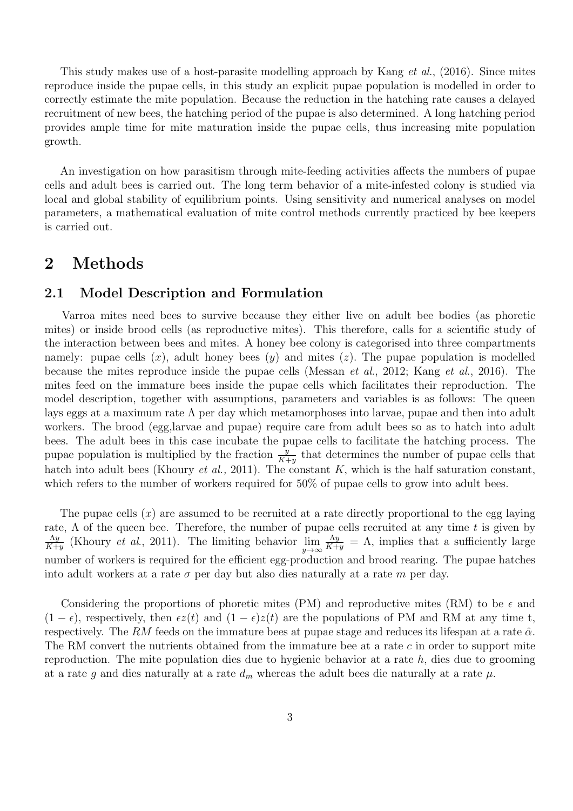This study makes use of a host-parasite modelling approach by Kang et al., (2016). Since mites reproduce inside the pupae cells, in this study an explicit pupae population is modelled in order to correctly estimate the mite population. Because the reduction in the hatching rate causes a delayed recruitment of new bees, the hatching period of the pupae is also determined. A long hatching period provides ample time for mite maturation inside the pupae cells, thus increasing mite population growth.

An investigation on how parasitism through mite-feeding activities affects the numbers of pupae cells and adult bees is carried out. The long term behavior of a mite-infested colony is studied via local and global stability of equilibrium points. Using sensitivity and numerical analyses on model parameters, a mathematical evaluation of mite control methods currently practiced by bee keepers is carried out.

# 2 Methods

## 2.1 Model Description and Formulation

Varroa mites need bees to survive because they either live on adult bee bodies (as phoretic mites) or inside brood cells (as reproductive mites). This therefore, calls for a scientific study of the interaction between bees and mites. A honey bee colony is categorised into three compartments namely: pupae cells  $(x)$ , adult honey bees  $(y)$  and mites  $(z)$ . The pupae population is modelled because the mites reproduce inside the pupae cells (Messan et al., 2012; Kang et al., 2016). The mites feed on the immature bees inside the pupae cells which facilitates their reproduction. The model description, together with assumptions, parameters and variables is as follows: The queen lays eggs at a maximum rate  $\Lambda$  per day which metamorphoses into larvae, pupae and then into adult workers. The brood (egg,larvae and pupae) require care from adult bees so as to hatch into adult bees. The adult bees in this case incubate the pupae cells to facilitate the hatching process. The pupae population is multiplied by the fraction  $\frac{y}{K+y}$  that determines the number of pupae cells that hatch into adult bees (Khoury et al., 2011). The constant  $K$ , which is the half saturation constant, which refers to the number of workers required for 50% of pupae cells to grow into adult bees.

The pupae cells  $(x)$  are assumed to be recruited at a rate directly proportional to the egg laying rate,  $\Lambda$  of the queen bee. Therefore, the number of pupae cells recruited at any time t is given by  $\Lambda y$  $\frac{\Delta y}{K+y}$  (Khoury *et al.*, 2011). The limiting behavior  $\lim_{y\to\infty}$ Λy  $\frac{\Lambda y}{K+y} = \Lambda$ , implies that a sufficiently large number of workers is required for the efficient egg-production and brood rearing. The pupae hatches into adult workers at a rate  $\sigma$  per day but also dies naturally at a rate m per day.

Considering the proportions of phoretic mites (PM) and reproductive mites (RM) to be  $\epsilon$  and  $(1 - \epsilon)$ , respectively, then  $\epsilon z(t)$  and  $(1 - \epsilon)z(t)$  are the populations of PM and RM at any time t, respectively. The RM feeds on the immature bees at pupae stage and reduces its lifespan at a rate  $\hat{\alpha}$ . The RM convert the nutrients obtained from the immature bee at a rate  $c$  in order to support mite reproduction. The mite population dies due to hygienic behavior at a rate  $h$ , dies due to grooming at a rate g and dies naturally at a rate  $d_m$  whereas the adult bees die naturally at a rate  $\mu$ .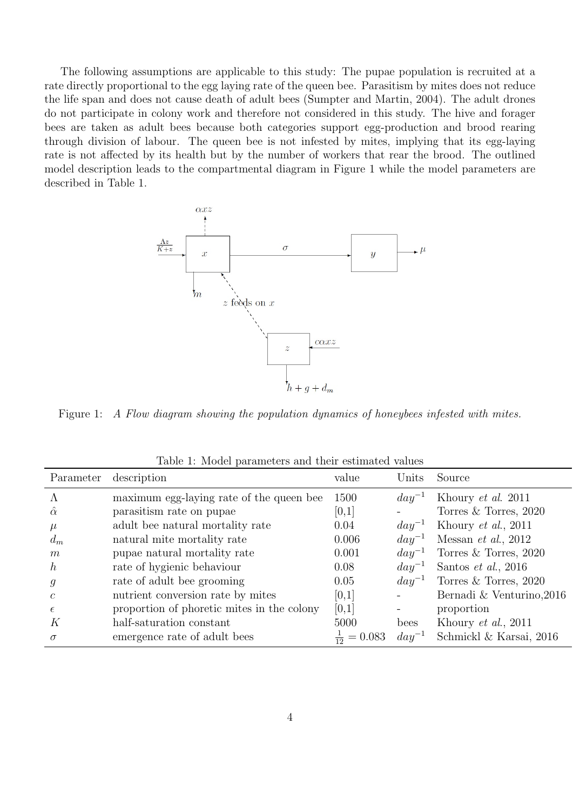The following assumptions are applicable to this study: The pupae population is recruited at a rate directly proportional to the egg laying rate of the queen bee. Parasitism by mites does not reduce the life span and does not cause death of adult bees (Sumpter and Martin, 2004). The adult drones do not participate in colony work and therefore not considered in this study. The hive and forager bees are taken as adult bees because both categories support egg-production and brood rearing through division of labour. The queen bee is not infested by mites, implying that its egg-laying rate is not affected by its health but by the number of workers that rear the brood. The outlined model description leads to the compartmental diagram in Figure 1 while the model parameters are described in Table 1.



Figure 1: A Flow diagram showing the population dynamics of honeybees infested with mites.

| Parameter        | description                                | value                  | Units      | Source                      |
|------------------|--------------------------------------------|------------------------|------------|-----------------------------|
|                  | maximum egg-laying rate of the queen bee   | 1500                   | $day^{-1}$ | Khoury et al. 2011          |
| $\hat{\alpha}$   | parasitism rate on pupae                   | [0,1]                  |            | Torres $&$ Torres, 2020     |
| $\mu$            | adult bee natural mortality rate           | 0.04                   | $day^{-1}$ | Khoury $et \ al., 2011$     |
| $d_m$            | natural mite mortality rate                | 0.006                  | $day^{-1}$ | Messan <i>et al.</i> , 2012 |
| m                | pupae natural mortality rate               | 0.001                  | $day^{-1}$ | Torres & Torres, 2020       |
| h,               | rate of hygienic behaviour                 | 0.08                   | $day^{-1}$ | Santos <i>et al.</i> , 2016 |
| $\boldsymbol{g}$ | rate of adult bee grooming                 | 0.05                   | $day^{-1}$ | Torres $&$ Torres, 2020     |
| C                | nutrient conversion rate by mites          | [0,1]                  |            | Bernadi & Venturino, 2016   |
| $\epsilon$       | proportion of phoretic mites in the colony | [0,1]                  |            | proportion                  |
| К                | half-saturation constant                   | 5000                   | bees       | Khoury $et \ al., 2011$     |
| $\sigma$         | emergence rate of adult bees               | $\frac{1}{12} = 0.083$ | $day^{-1}$ | Schmickl & Karsai, 2016     |

Table 1: Model parameters and their estimated values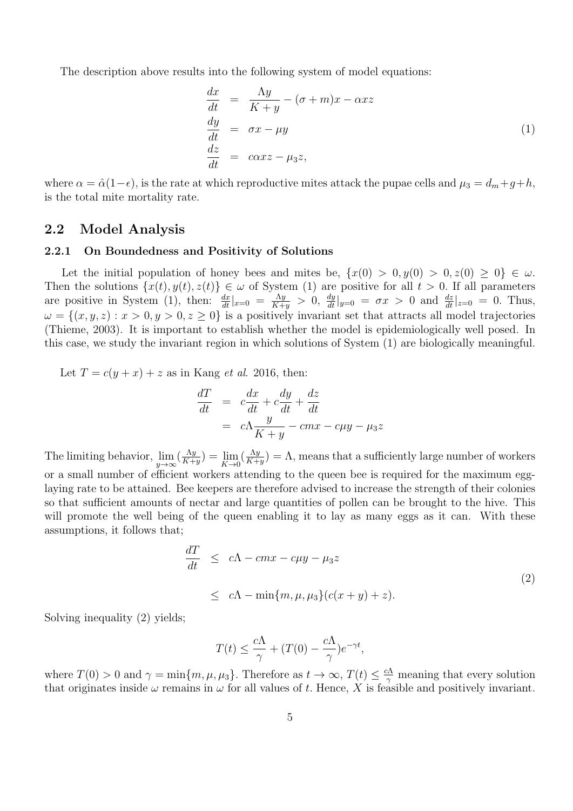The description above results into the following system of model equations:

$$
\begin{array}{rcl}\n\frac{dx}{dt} & = & \frac{\Lambda y}{K+y} - (\sigma + m)x - \alpha xz \\
\frac{dy}{dt} & = & \sigma x - \mu y \\
\frac{dz}{dt} & = & \alpha xz - \mu_3 z,\n\end{array} \tag{1}
$$

where  $\alpha = \hat{\alpha}(1-\epsilon)$ , is the rate at which reproductive mites attack the pupae cells and  $\mu_3 = d_m + g + h$ , is the total mite mortality rate.

## 2.2 Model Analysis

#### 2.2.1 On Boundedness and Positivity of Solutions

Let the initial population of honey bees and mites be,  $\{x(0) > 0, y(0) > 0, z(0) \geq 0\} \in \omega$ . Then the solutions  $\{x(t), y(t), z(t)\}\in \omega$  of System (1) are positive for all  $t > 0$ . If all parameters are positive in System (1), then:  $\frac{dx}{dt}|_{x=0} = \frac{\Lambda y}{K+1}$  $\frac{\Lambda y}{K+y} > 0$ ,  $\frac{dy}{dt}|_{y=0} = \sigma x > 0$  and  $\frac{dz}{dt}|_{z=0} = 0$ . Thus,  $\omega = \{(x, y, z) : x > 0, y > 0, z \ge 0\}$  is a positively invariant set that attracts all model trajectories (Thieme, 2003). It is important to establish whether the model is epidemiologically well posed. In this case, we study the invariant region in which solutions of System (1) are biologically meaningful.

Let  $T = c(y + x) + z$  as in Kang *et al.* 2016, then:

$$
\frac{dT}{dt} = c\frac{dx}{dt} + c\frac{dy}{dt} + \frac{dz}{dt}
$$
\n
$$
= c\Lambda \frac{y}{K+y} - cmx - c\mu y - \mu_3 z
$$

The limiting behavior,  $\lim_{y \to \infty} (\frac{\Lambda y}{K + 1})$  $\frac{\Lambda y}{K+y}$ ) =  $\lim_{K\to 0} \left(\frac{\Lambda y}{K+y}\right)$  $(\frac{\Lambda y}{K+y}) = \Lambda$ , means that a sufficiently large number of workers or a small number of efficient workers attending to the queen bee is required for the maximum egglaying rate to be attained. Bee keepers are therefore advised to increase the strength of their colonies so that sufficient amounts of nectar and large quantities of pollen can be brought to the hive. This will promote the well being of the queen enabling it to lay as many eggs as it can. With these assumptions, it follows that;

$$
\frac{dT}{dt} \le c\Lambda - cmx - c\mu y - \mu_3 z
$$
  
\n
$$
\le c\Lambda - \min\{m, \mu, \mu_3\}(c(x+y) + z).
$$
\n(2)

Solving inequality (2) yields;

$$
T(t) \le \frac{c\Lambda}{\gamma} + (T(0) - \frac{c\Lambda}{\gamma})e^{-\gamma t},
$$

where  $T(0) > 0$  and  $\gamma = \min\{m, \mu, \mu_3\}$ . Therefore as  $t \to \infty$ ,  $T(t) \leq \frac{c\Lambda}{\gamma}$  meaning that every solution that originates inside  $\omega$  remains in  $\omega$  for all values of t. Hence, X is feasible and positively invariant.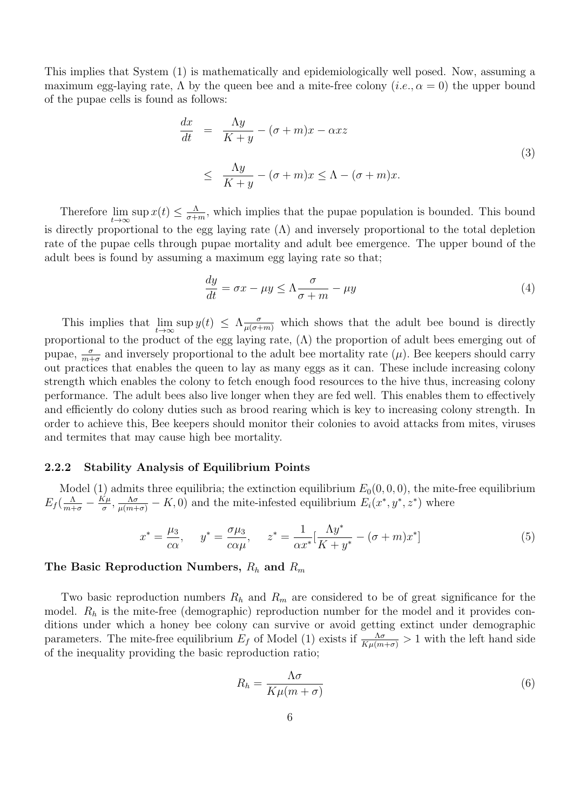This implies that System (1) is mathematically and epidemiologically well posed. Now, assuming a maximum egg-laying rate,  $\Lambda$  by the queen bee and a mite-free colony  $(i.e., \alpha = 0)$  the upper bound of the pupae cells is found as follows:

$$
\frac{dx}{dt} = \frac{\Lambda y}{K+y} - (\sigma + m)x - \alpha xz
$$
\n
$$
\leq \frac{\Lambda y}{K+y} - (\sigma + m)x \leq \Lambda - (\sigma + m)x.
$$
\n(3)

Therefore  $\lim_{t\to\infty} \sup x(t) \leq \frac{\Lambda}{\sigma+1}$  $\frac{\Lambda}{\sigma+m}$ , which implies that the pupae population is bounded. This bound is directly proportional to the egg laying rate  $(\Lambda)$  and inversely proportional to the total depletion rate of the pupae cells through pupae mortality and adult bee emergence. The upper bound of the adult bees is found by assuming a maximum egg laying rate so that;

$$
\frac{dy}{dt} = \sigma x - \mu y \le \Lambda \frac{\sigma}{\sigma + m} - \mu y \tag{4}
$$

This implies that  $\lim_{t\to\infty} \sup y(t) \leq \Lambda \frac{\sigma}{\mu(\sigma+m)}$  which shows that the adult bee bound is directly proportional to the product of the egg laying rate,  $(\Lambda)$  the proportion of adult bees emerging out of pupae,  $\frac{\sigma}{m+\sigma}$  and inversely proportional to the adult bee mortality rate  $(\mu)$ . Bee keepers should carry out practices that enables the queen to lay as many eggs as it can. These include increasing colony strength which enables the colony to fetch enough food resources to the hive thus, increasing colony performance. The adult bees also live longer when they are fed well. This enables them to effectively and efficiently do colony duties such as brood rearing which is key to increasing colony strength. In order to achieve this, Bee keepers should monitor their colonies to avoid attacks from mites, viruses and termites that may cause high bee mortality.

#### 2.2.2 Stability Analysis of Equilibrium Points

Model (1) admits three equilibria; the extinction equilibrium  $E_0(0, 0, 0)$ , the mite-free equilibrium  $E_f(\frac{\Lambda}{m+\sigma}-\frac{K\mu}{\sigma})$  $\frac{\zeta_{\mu}}{\sigma}, \frac{\Lambda \sigma}{\mu(m+\sigma)} - K, 0$  and the mite-infested equilibrium  $E_i(x^*, y^*, z^*)$  where

$$
x^* = \frac{\mu_3}{c\alpha}, \quad y^* = \frac{\sigma\mu_3}{c\alpha\mu}, \quad z^* = \frac{1}{\alpha x^*} [\frac{\Lambda y^*}{K + y^*} - (\sigma + m)x^*]
$$
(5)

## The Basic Reproduction Numbers,  $R_h$  and  $R_m$

Two basic reproduction numbers  $R_h$  and  $R_m$  are considered to be of great significance for the model.  $R_h$  is the mite-free (demographic) reproduction number for the model and it provides conditions under which a honey bee colony can survive or avoid getting extinct under demographic parameters. The mite-free equilibrium  $E_f$  of Model (1) exists if  $\frac{\Lambda\sigma}{K\mu(m+\sigma)} > 1$  with the left hand side of the inequality providing the basic reproduction ratio;

$$
R_h = \frac{\Lambda \sigma}{K \mu (m + \sigma)}\tag{6}
$$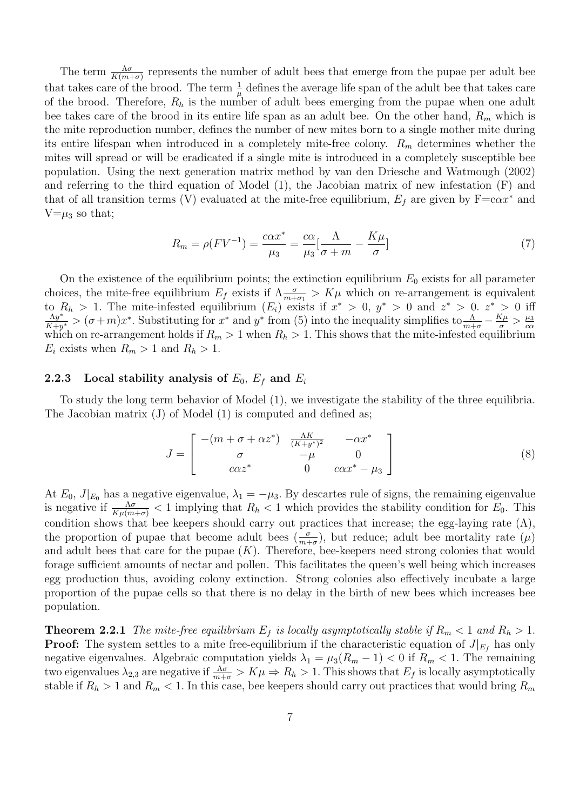The term  $\frac{\Lambda \sigma}{K(m+\sigma)}$  represents the number of adult bees that emerge from the pupae per adult bee that takes care of the brood. The term  $\frac{1}{\mu}$  defines the average life span of the adult bee that takes care of the brood. Therefore,  $R_h$  is the number of adult bees emerging from the pupae when one adult bee takes care of the brood in its entire life span as an adult bee. On the other hand,  $R_m$  which is the mite reproduction number, defines the number of new mites born to a single mother mite during its entire lifespan when introduced in a completely mite-free colony.  $R_m$  determines whether the mites will spread or will be eradicated if a single mite is introduced in a completely susceptible bee population. Using the next generation matrix method by van den Driesche and Watmough (2002) and referring to the third equation of Model (1), the Jacobian matrix of new infestation (F) and that of all transition terms (V) evaluated at the mite-free equilibrium,  $E_f$  are given by  $F=cax^*$  and  $V=\mu_3$  so that;

$$
R_m = \rho (F V^{-1}) = \frac{c \alpha x^*}{\mu_3} = \frac{c \alpha}{\mu_3} \left[ \frac{\Lambda}{\sigma + m} - \frac{K \mu}{\sigma} \right]
$$
(7)

On the existence of the equilibrium points; the extinction equilibrium  $E_0$  exists for all parameter choices, the mite-free equilibrium  $E_f$  exists if  $\Lambda \frac{\sigma}{m+\sigma_1} > K\mu$  which on re-arrangement is equivalent to  $R_h > 1$ . The mite-infested equilibrium  $(E_i)$  exists if  $x^* > 0$ ,  $y^* > 0$  and  $z^* > 0$ .  $z^* > 0$  iff  $\Lambda y^*$  $\frac{\Lambda y^*}{K+y^*} > (\sigma+m)x^*$ . Substituting for  $x^*$  and  $y^*$  from (5) into the inequality simplifies to  $\frac{\Lambda}{m+\sigma} - \frac{K\mu}{\sigma} > \frac{\mu_3}{c\alpha}$  $k+y^*$  (c)  $m/x$  . Substituting for x and y from (c) more inequality simplifies to  $m+\sigma$   $\sigma$   $\sigma$   $\alpha$  which on re-arrangement holds if  $R_m > 1$  when  $R_h > 1$ . This shows that the mite-infested equilibrium  $E_i$  exists when  $R_m > 1$  and  $R_h > 1$ .

### 2.2.3 Local stability analysis of  $E_0$ ,  $E_f$  and  $E_i$

To study the long term behavior of Model (1), we investigate the stability of the three equilibria. The Jacobian matrix (J) of Model (1) is computed and defined as;

$$
J = \begin{bmatrix} -(m + \sigma + \alpha z^*) & \frac{\Lambda K}{(K + y^*)^2} & -\alpha x^* \\ \sigma & -\mu & 0 \\ \cos z^* & 0 & \cos^* - \mu_3 \end{bmatrix}
$$
 (8)

At  $E_0$ ,  $J|_{E_0}$  has a negative eigenvalue,  $\lambda_1 = -\mu_3$ . By descartes rule of signs, the remaining eigenvalue is negative if  $\frac{\Lambda\sigma}{K\mu(m+\sigma)} < 1$  implying that  $R_h < 1$  which provides the stability condition for  $E_0$ . This condition shows that bee keepers should carry out practices that increase; the egg-laying rate  $(\Lambda)$ , the proportion of pupae that become adult bees  $(\frac{\sigma}{m+\sigma})$ , but reduce; adult bee mortality rate  $(\mu)$ and adult bees that care for the pupae  $(K)$ . Therefore, bee-keepers need strong colonies that would forage sufficient amounts of nectar and pollen. This facilitates the queen's well being which increases egg production thus, avoiding colony extinction. Strong colonies also effectively incubate a large proportion of the pupae cells so that there is no delay in the birth of new bees which increases bee population.

**Theorem 2.2.1** The mite-free equilibrium  $E_f$  is locally asymptotically stable if  $R_m < 1$  and  $R_h > 1$ . **Proof:** The system settles to a mite free-equilibrium if the characteristic equation of  $J|_{E_f}$  has only negative eigenvalues. Algebraic computation yields  $\lambda_1 = \mu_3(R_m - 1) < 0$  if  $R_m < 1$ . The remaining two eigenvalues  $\lambda_{2,3}$  are negative if  $\frac{\Lambda\sigma}{m+\sigma} > K\mu \Rightarrow R_h > 1$ . This shows that  $E_f$  is locally asymptotically stable if  $R_h > 1$  and  $R_m < 1$ . In this case, bee keepers should carry out practices that would bring  $R_m$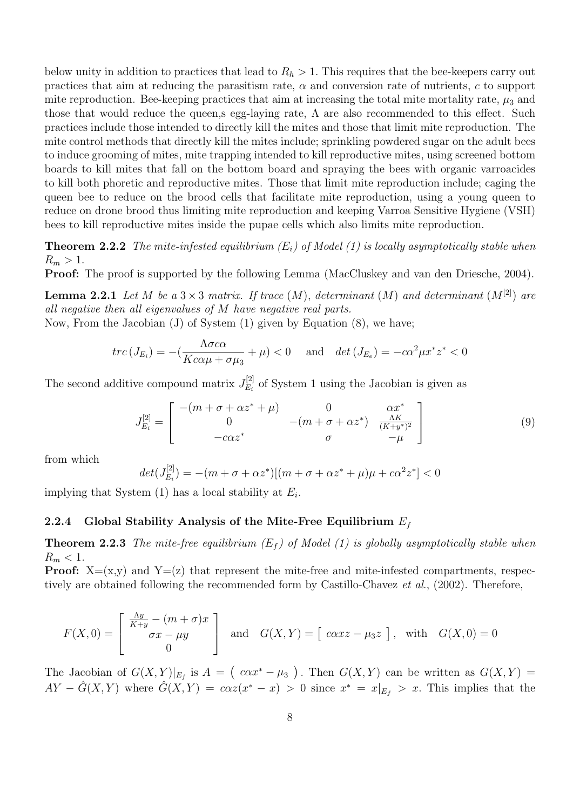below unity in addition to practices that lead to  $R_h > 1$ . This requires that the bee-keepers carry out practices that aim at reducing the parasitism rate,  $\alpha$  and conversion rate of nutrients, c to support mite reproduction. Bee-keeping practices that aim at increasing the total mite mortality rate,  $\mu_3$  and those that would reduce the queen,s egg-laying rate,  $\Lambda$  are also recommended to this effect. Such practices include those intended to directly kill the mites and those that limit mite reproduction. The mite control methods that directly kill the mites include; sprinkling powdered sugar on the adult bees to induce grooming of mites, mite trapping intended to kill reproductive mites, using screened bottom boards to kill mites that fall on the bottom board and spraying the bees with organic varroacides to kill both phoretic and reproductive mites. Those that limit mite reproduction include; caging the queen bee to reduce on the brood cells that facilitate mite reproduction, using a young queen to reduce on drone brood thus limiting mite reproduction and keeping Varroa Sensitive Hygiene (VSH) bees to kill reproductive mites inside the pupae cells which also limits mite reproduction.

**Theorem 2.2.2** The mite-infested equilibrium  $(E_i)$  of Model (1) is locally asymptotically stable when  $R_m > 1$ .

Proof: The proof is supported by the following Lemma (MacCluskey and van den Driesche, 2004).

**Lemma 2.2.1** Let M be a  $3 \times 3$  matrix. If trace  $(M)$ , determinant  $(M)$  and determinant  $(M^{[2]})$  are all negative then all eigenvalues of M have negative real parts.

Now, From the Jacobian (J) of System (1) given by Equation (8), we have;

$$
trc(J_{E_i}) = -\left(\frac{\Lambda \sigma c \alpha}{Kc \alpha \mu + \sigma \mu_3} + \mu\right) < 0 \quad \text{and} \quad \det\left(J_{E_e}\right) = -c \alpha^2 \mu x^* z^* < 0
$$

The second additive compound matrix  $J_{E_i}^{[2]}$  $E_i^{[2]}$  of System 1 using the Jacobian is given as

$$
J_{E_i}^{[2]} = \begin{bmatrix} -(m + \sigma + \alpha z^* + \mu) & 0 & \alpha x^* \\ 0 & -(m + \sigma + \alpha z^*) & \frac{\Lambda K}{(K + y^*)^2} \\ -c\alpha z^* & \sigma & -\mu \end{bmatrix}
$$
(9)

from which

$$
det(J_{E_i}^{[2]}) = -(m + \sigma + \alpha z^*)[(m + \sigma + \alpha z^* + \mu)\mu + c\alpha^2 z^*] < 0
$$

implying that System  $(1)$  has a local stability at  $E_i$ .

## 2.2.4 Global Stability Analysis of the Mite-Free Equilibrium  $E_f$

**Theorem 2.2.3** The mite-free equilibrium  $(E_f)$  of Model (1) is globally asymptotically stable when  $R_m < 1$ .

**Proof:**  $X=(x,y)$  and  $Y=(z)$  that represent the mite-free and mite-infested compartments, respectively are obtained following the recommended form by Castillo-Chavez et al., (2002). Therefore,

$$
F(X,0) = \begin{bmatrix} \frac{\Lambda y}{K+y} - (m+\sigma)x \\ \sigma x - \mu y \\ 0 \end{bmatrix}
$$
 and  $G(X,Y) = [\csc x - \mu_3 z],$  with  $G(X,0) = 0$ 

The Jacobian of  $G(X,Y)|_{E_f}$  is  $A = (c\alpha x^* - \mu_3)$ . Then  $G(X,Y)$  can be written as  $G(X,Y) =$  $AY - \hat{G}(X,Y)$  where  $\hat{G}(X,Y) = c\alpha z(x^* - x) > 0$  since  $x^* = x|_{E_f} > x$ . This implies that the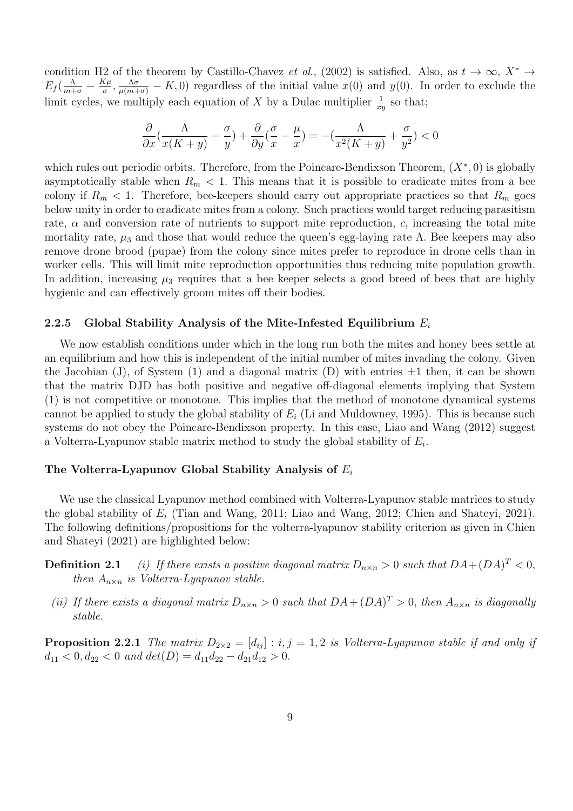condition H2 of the theorem by Castillo-Chavez et al., (2002) is satisfied. Also, as  $t \to \infty$ ,  $X^* \to$  $E_f(\frac{\Lambda}{m+\sigma}-\frac{K\mu}{\sigma})$  $\frac{\zeta\mu}{\sigma}, \frac{\Lambda\sigma}{\mu(m+\sigma)} - K, 0$  regardless of the initial value  $x(0)$  and  $y(0)$ . In order to exclude the limit cycles, we multiply each equation of X by a Dulac multiplier  $\frac{1}{xy}$  so that;

$$
\frac{\partial}{\partial x} \left( \frac{\Lambda}{x(K+y)} - \frac{\sigma}{y} \right) + \frac{\partial}{\partial y} \left( \frac{\sigma}{x} - \frac{\mu}{x} \right) = -\left( \frac{\Lambda}{x^2(K+y)} + \frac{\sigma}{y^2} \right) < 0
$$

which rules out periodic orbits. Therefore, from the Poincare-Bendixson Theorem,  $(X^*,0)$  is globally asymptotically stable when  $R_m < 1$ . This means that it is possible to eradicate mites from a bee colony if  $R_m < 1$ . Therefore, bee-keepers should carry out appropriate practices so that  $R_m$  goes below unity in order to eradicate mites from a colony. Such practices would target reducing parasitism rate,  $\alpha$  and conversion rate of nutrients to support mite reproduction, c, increasing the total mite mortality rate,  $\mu_3$  and those that would reduce the queen's egg-laying rate Λ. Bee keepers may also remove drone brood (pupae) from the colony since mites prefer to reproduce in drone cells than in worker cells. This will limit mite reproduction opportunities thus reducing mite population growth. In addition, increasing  $\mu_3$  requires that a bee keeper selects a good breed of bees that are highly hygienic and can effectively groom mites off their bodies.

#### 2.2.5 Global Stability Analysis of the Mite-Infested Equilibrium  $E_i$

We now establish conditions under which in the long run both the mites and honey bees settle at an equilibrium and how this is independent of the initial number of mites invading the colony. Given the Jacobian (J), of System (1) and a diagonal matrix (D) with entries  $\pm 1$  then, it can be shown that the matrix DJD has both positive and negative off-diagonal elements implying that System (1) is not competitive or monotone. This implies that the method of monotone dynamical systems cannot be applied to study the global stability of  $E_i$  (Li and Muldowney, 1995). This is because such systems do not obey the Poincare-Bendixson property. In this case, Liao and Wang (2012) suggest a Volterra-Lyapunov stable matrix method to study the global stability of  $E_i$ .

### The Volterra-Lyapunov Global Stability Analysis of  $E_i$

We use the classical Lyapunov method combined with Volterra-Lyapunov stable matrices to study the global stability of  $E_i$  (Tian and Wang, 2011; Liao and Wang, 2012; Chien and Shateyi, 2021). The following definitions/propositions for the volterra-lyapunov stability criterion as given in Chien and Shateyi (2021) are highlighted below:

- **Definition 2.1** (i) If there exists a positive diagonal matrix  $D_{n\times n} > 0$  such that  $DA + (DA)^T < 0$ , then  $A_{n\times n}$  is Volterra-Lyapunov stable.
- (ii) If there exists a diagonal matrix  $D_{n\times n} > 0$  such that  $DA + (DA)^{T} > 0$ , then  $A_{n\times n}$  is diagonally stable.

**Proposition 2.2.1** The matrix  $D_{2\times2} = [d_{ij}] : i, j = 1, 2$  is Volterra-Lyapunov stable if and only if  $d_{11} < 0, d_{22} < 0$  and  $det(D) = d_{11}d_{22} - d_{21}d_{12} > 0$ .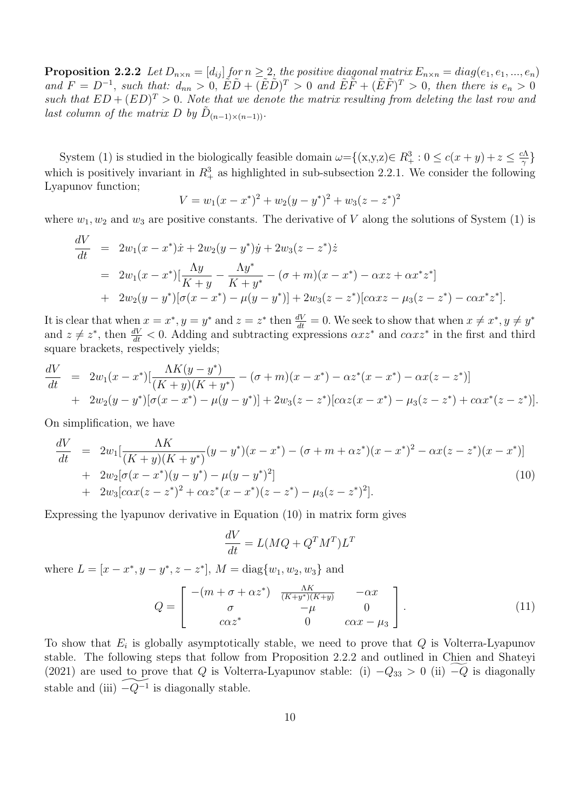**Proposition 2.2.2** Let  $D_{n\times n} = [d_{ij}]$  for  $n \geq 2$ , the positive diagonal matrix  $E_{n\times n} = diag(e_1, e_1, ..., e_n)$ and  $F = D^{-1}$ , such that:  $d_{nn} > 0$ ,  $\tilde{E}\tilde{D} + (\tilde{E}\tilde{D})^T > 0$  and  $\tilde{E}\tilde{F} + (\tilde{E}\tilde{F})^T > 0$ , then there is  $e_n > 0$ such that  $ED + (ED)^T > 0$ . Note that we denote the matrix resulting from deleting the last row and last column of the matrix D by  $\tilde{D}_{(n-1)\times(n-1)}$ .

System (1) is studied in the biologically feasible domain  $\omega = \{(x,y,z) \in R_+^3 : 0 \le c(x+y) + z \le \frac{c\Lambda}{\gamma}\}$  $\frac{1}{\gamma}$ } which is positively invariant in  $R_+^3$  as highlighted in sub-subsection 2.2.1. We consider the following Lyapunov function;

$$
V = w_1(x - x^*)^2 + w_2(y - y^*)^2 + w_3(z - z^*)^2
$$

where  $w_1, w_2$  and  $w_3$  are positive constants. The derivative of V along the solutions of System (1) is

$$
\frac{dV}{dt} = 2w_1(x - x^*)\dot{x} + 2w_2(y - y^*)\dot{y} + 2w_3(z - z^*)\dot{z}
$$
\n
$$
= 2w_1(x - x^*)\left[\frac{\Lambda y}{K + y} - \frac{\Lambda y^*}{K + y^*} - (\sigma + m)(x - x^*) - \alpha x z + \alpha x^* z^*\right]
$$
\n
$$
+ 2w_2(y - y^*)[\sigma(x - x^*) - \mu(y - y^*)] + 2w_3(z - z^*)[\cos(z - z^*) - \alpha x^* z^*].
$$

It is clear that when  $x = x^*$ ,  $y = y^*$  and  $z = z^*$  then  $\frac{dV}{dt} = 0$ . We seek to show that when  $x \neq x^*$ ,  $y \neq y^*$ and  $z \neq z^*$ , then  $\frac{dV}{dt} < 0$ . Adding and subtracting expressions  $\alpha x z^*$  and  $\alpha \alpha x z^*$  in the first and third square brackets, respectively yields;

$$
\frac{dV}{dt} = 2w_1(x - x^*)\left[\frac{\Lambda K(y - y^*)}{(K + y)(K + y^*)} - (\sigma + m)(x - x^*) - \alpha z^*(x - x^*) - \alpha x(z - z^*)\right] \n+ 2w_2(y - y^*)[\sigma(x - x^*) - \mu(y - y^*)] + 2w_3(z - z^*)[\cos(z(x - x^*) - \mu_3(z - z^*) + \cos^*(z - z^*)].
$$

On simplification, we have

$$
\frac{dV}{dt} = 2w_1 \left[ \frac{\Lambda K}{(K+y)(K+y^*)} (y-y^*)(x-x^*) - (\sigma + m + \alpha z^*)(x-x^*)^2 - \alpha x (z-z^*)(x-x^*) \right] \n+ 2w_2 [\sigma(x-x^*)(y-y^*) - \mu(y-y^*)^2] \n+ 2w_3 [\alpha x (z-z^*)^2 + \alpha z^* (x-x^*)(z-z^*) - \mu_3 (z-z^*)^2].
$$
\n(10)

Expressing the lyapunov derivative in Equation (10) in matrix form gives

$$
\frac{dV}{dt} = L(MQ + Q^T M^T) L^T
$$

where  $L = [x - x^*, y - y^*, z - z^*], M = diag{w_1, w_2, w_3}$  and

$$
Q = \begin{bmatrix} -(m + \sigma + \alpha z^*) & \frac{\Lambda K}{(K + y^*)(K + y)} & -\alpha x \\ \sigma & -\mu & 0 \\ c\alpha z^* & 0 & c\alpha x - \mu_3 \end{bmatrix}.
$$
 (11)

To show that  $E_i$  is globally asymptotically stable, we need to prove that  $Q$  is Volterra-Lyapunov stable. The following steps that follow from Proposition 2.2.2 and outlined in Chien and Shateyi (2021) are used to prove that Q is Volterra-Lyapunov stable: (i)  $-Q_{33} > 0$  (ii)  $-Q$  is diagonally stable and (iii)  $\widetilde{-Q^{-1}}$  is diagonally stable.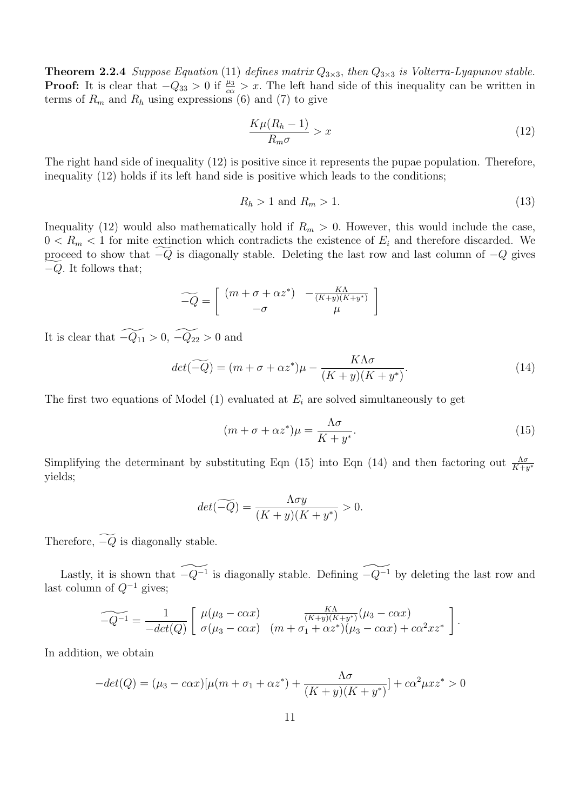**Theorem 2.2.4** Suppose Equation (11) defines matrix  $Q_{3\times 3}$ , then  $Q_{3\times 3}$  is Volterra-Lyapunov stable. **Proof:** It is clear that  $-Q_{33} > 0$  if  $\frac{\mu_3}{c\alpha} > x$ . The left hand side of this inequality can be written in terms of  $R_m$  and  $R_h$  using expressions (6) and (7) to give

$$
\frac{K\mu(R_h - 1)}{R_m \sigma} > x \tag{12}
$$

The right hand side of inequality (12) is positive since it represents the pupae population. Therefore, inequality (12) holds if its left hand side is positive which leads to the conditions;

$$
R_h > 1 \text{ and } R_m > 1. \tag{13}
$$

Inequality (12) would also mathematically hold if  $R_m > 0$ . However, this would include the case,  $0 < R_m < 1$  for mite extinction which contradicts the existence of  $E_i$  and therefore discarded. We proceed to show that  $-Q$  is diagonally stable. Deleting the last row and last column of  $-Q$  gives  $-Q$ . It follows that;

$$
\widetilde{-Q} = \left[ \begin{array}{cc} (m + \sigma + \alpha z^*) & -\frac{K\Lambda}{(K+y)(K+y^*)} \\ -\sigma & \mu \end{array} \right]
$$

It is clear that  $-\widetilde{Q_{11}} > 0$ ,  $-\widetilde{Q_{22}} > 0$  and

$$
det(-\widetilde{Q}) = (m + \sigma + \alpha z^*)\mu - \frac{K\Lambda\sigma}{(K + y)(K + y^*)}.
$$
\n(14)

The first two equations of Model  $(1)$  evaluated at  $E_i$  are solved simultaneously to get

$$
(m + \sigma + \alpha z^*)\mu = \frac{\Lambda \sigma}{K + y^*}.
$$
\n(15)

Simplifying the determinant by substituting Eqn (15) into Eqn (14) and then factoring out  $\frac{\Lambda\sigma}{K+y^*}$ yields;

$$
det(\widetilde{-Q}) = \frac{\Lambda \sigma y}{(K+y)(K+y^*)} > 0.
$$

Therefore,  $-\widetilde{Q}$  is diagonally stable.

Lastly, it is shown that  $\widetilde{-Q^{-1}}$  is diagonally stable. Defining  $\widetilde{-Q^{-1}}$  by deleting the last row and last column of  $Q^{-1}$  gives;

$$
\widetilde{-Q^{-1}} = \frac{1}{-det(Q)} \left[ \begin{array}{cc} \mu(\mu_3 - c\alpha x) & \frac{K\Lambda}{(K+y)(K+y^*)} (\mu_3 - c\alpha x) \\ \sigma(\mu_3 - c\alpha x) & (m + \sigma_1 + \alpha z^*)(\mu_3 - c\alpha x) + c\alpha^2 x z^* \end{array} \right].
$$

In addition, we obtain

$$
-det(Q) = (\mu_3 - c\alpha x)[\mu(m + \sigma_1 + \alpha z^*) + \frac{\Lambda \sigma}{(K + y)(K + y^*)}] + c\alpha^2 \mu x z^* > 0
$$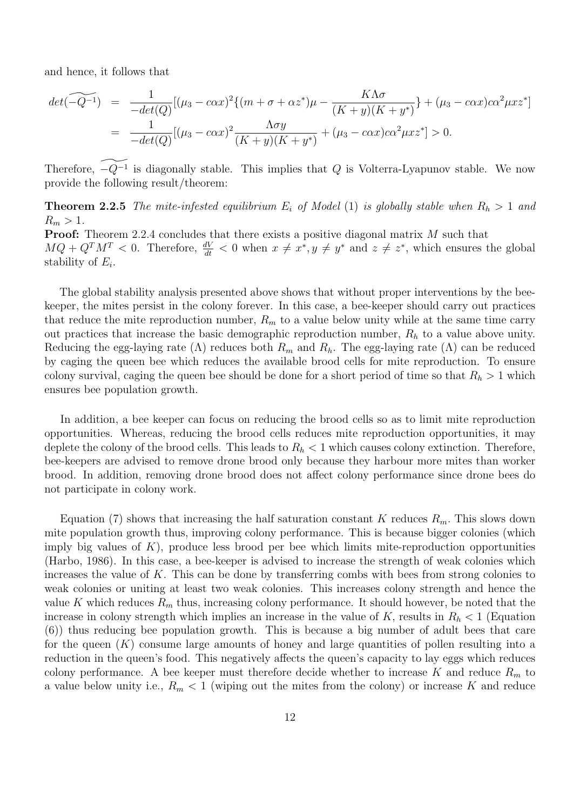and hence, it follows that

$$
det(-\widetilde{Q^{-1}}) = \frac{1}{-det(Q)}[(\mu_3 - c\alpha x)^2 \{ (m + \sigma + \alpha z^*)\mu - \frac{K\Lambda\sigma}{(K + y)(K + y^*)} \} + (\mu_3 - c\alpha x)c\alpha^2 \mu x z^*]
$$
  
= 
$$
\frac{1}{-det(Q)}[(\mu_3 - c\alpha x)^2 \frac{\Lambda\sigma y}{(K + y)(K + y^*)} + (\mu_3 - c\alpha x)c\alpha^2 \mu x z^*] > 0.
$$

Therefore,  $\widetilde{-Q^{-1}}$  is diagonally stable. This implies that Q is Volterra-Lyapunov stable. We now provide the following result/theorem:

**Theorem 2.2.5** The mite-infested equilibrium  $E_i$  of Model (1) is globally stable when  $R_h > 1$  and  $R_m > 1$ .

Proof: Theorem 2.2.4 concludes that there exists a positive diagonal matrix M such that  $MQ + Q^T M^T < 0$ . Therefore,  $\frac{dV}{dt} < 0$  when  $x \neq x^*$ ,  $y \neq y^*$  and  $z \neq z^*$ , which ensures the global stability of  $E_i$ .

The global stability analysis presented above shows that without proper interventions by the beekeeper, the mites persist in the colony forever. In this case, a bee-keeper should carry out practices that reduce the mite reproduction number,  $R_m$  to a value below unity while at the same time carry out practices that increase the basic demographic reproduction number,  $R<sub>h</sub>$  to a value above unity. Reducing the egg-laying rate ( $\Lambda$ ) reduces both  $R_m$  and  $R_h$ . The egg-laying rate ( $\Lambda$ ) can be reduced by caging the queen bee which reduces the available brood cells for mite reproduction. To ensure colony survival, caging the queen bee should be done for a short period of time so that  $R_h > 1$  which ensures bee population growth.

In addition, a bee keeper can focus on reducing the brood cells so as to limit mite reproduction opportunities. Whereas, reducing the brood cells reduces mite reproduction opportunities, it may deplete the colony of the brood cells. This leads to  $R_h < 1$  which causes colony extinction. Therefore, bee-keepers are advised to remove drone brood only because they harbour more mites than worker brood. In addition, removing drone brood does not affect colony performance since drone bees do not participate in colony work.

Equation (7) shows that increasing the half saturation constant K reduces  $R_m$ . This slows down mite population growth thus, improving colony performance. This is because bigger colonies (which imply big values of  $K$ ), produce less brood per bee which limits mite-reproduction opportunities (Harbo, 1986). In this case, a bee-keeper is advised to increase the strength of weak colonies which increases the value of K. This can be done by transferring combs with bees from strong colonies to weak colonies or uniting at least two weak colonies. This increases colony strength and hence the value K which reduces  $R_m$  thus, increasing colony performance. It should however, be noted that the increase in colony strength which implies an increase in the value of K, results in  $R_h < 1$  (Equation (6)) thus reducing bee population growth. This is because a big number of adult bees that care for the queen  $(K)$  consume large amounts of honey and large quantities of pollen resulting into a reduction in the queen's food. This negatively affects the queen's capacity to lay eggs which reduces colony performance. A bee keeper must therefore decide whether to increase K and reduce  $R_m$  to a value below unity i.e.,  $R_m < 1$  (wiping out the mites from the colony) or increase K and reduce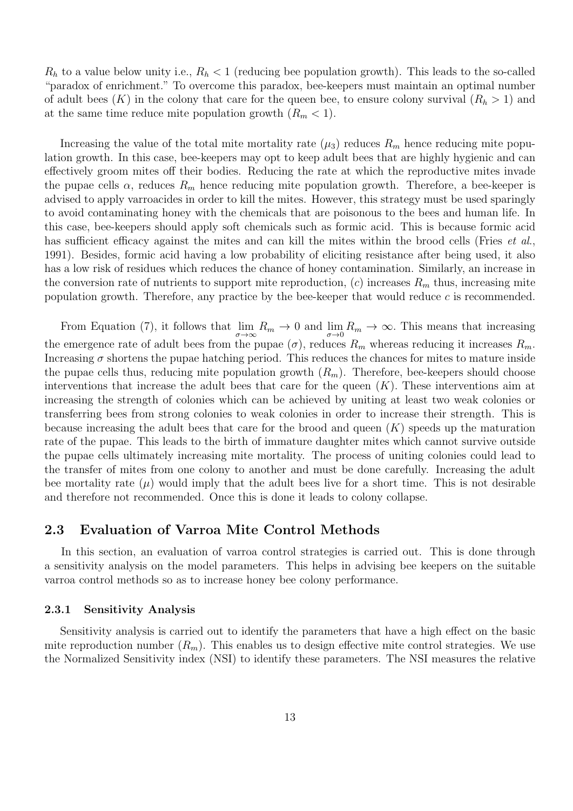$R_h$  to a value below unity i.e.,  $R_h < 1$  (reducing bee population growth). This leads to the so-called "paradox of enrichment." To overcome this paradox, bee-keepers must maintain an optimal number of adult bees  $(K)$  in the colony that care for the queen bee, to ensure colony survival  $(R_h > 1)$  and at the same time reduce mite population growth  $(R_m < 1)$ .

Increasing the value of the total mite mortality rate  $(\mu_3)$  reduces  $R_m$  hence reducing mite population growth. In this case, bee-keepers may opt to keep adult bees that are highly hygienic and can effectively groom mites off their bodies. Reducing the rate at which the reproductive mites invade the pupae cells  $\alpha$ , reduces  $R_m$  hence reducing mite population growth. Therefore, a bee-keeper is advised to apply varroacides in order to kill the mites. However, this strategy must be used sparingly to avoid contaminating honey with the chemicals that are poisonous to the bees and human life. In this case, bee-keepers should apply soft chemicals such as formic acid. This is because formic acid has sufficient efficacy against the mites and can kill the mites within the brood cells (Fries *et al.*, 1991). Besides, formic acid having a low probability of eliciting resistance after being used, it also has a low risk of residues which reduces the chance of honey contamination. Similarly, an increase in the conversion rate of nutrients to support mite reproduction,  $(c)$  increases  $R_m$  thus, increasing mite population growth. Therefore, any practice by the bee-keeper that would reduce  $c$  is recommended.

From Equation (7), it follows that  $\lim_{\sigma\to\infty} R_m \to 0$  and  $\lim_{\sigma\to 0} R_m \to \infty$ . This means that increasing the emergence rate of adult bees from the pupae  $(\sigma)$ , reduces  $R_m$  whereas reducing it increases  $R_m$ . Increasing  $\sigma$  shortens the pupae hatching period. This reduces the chances for mites to mature inside the pupae cells thus, reducing mite population growth  $(R_m)$ . Therefore, bee-keepers should choose interventions that increase the adult bees that care for the queen  $(K)$ . These interventions aim at increasing the strength of colonies which can be achieved by uniting at least two weak colonies or transferring bees from strong colonies to weak colonies in order to increase their strength. This is because increasing the adult bees that care for the brood and queen  $(K)$  speeds up the maturation rate of the pupae. This leads to the birth of immature daughter mites which cannot survive outside the pupae cells ultimately increasing mite mortality. The process of uniting colonies could lead to the transfer of mites from one colony to another and must be done carefully. Increasing the adult bee mortality rate  $(\mu)$  would imply that the adult bees live for a short time. This is not desirable and therefore not recommended. Once this is done it leads to colony collapse.

## 2.3 Evaluation of Varroa Mite Control Methods

In this section, an evaluation of varroa control strategies is carried out. This is done through a sensitivity analysis on the model parameters. This helps in advising bee keepers on the suitable varroa control methods so as to increase honey bee colony performance.

#### 2.3.1 Sensitivity Analysis

Sensitivity analysis is carried out to identify the parameters that have a high effect on the basic mite reproduction number  $(R_m)$ . This enables us to design effective mite control strategies. We use the Normalized Sensitivity index (NSI) to identify these parameters. The NSI measures the relative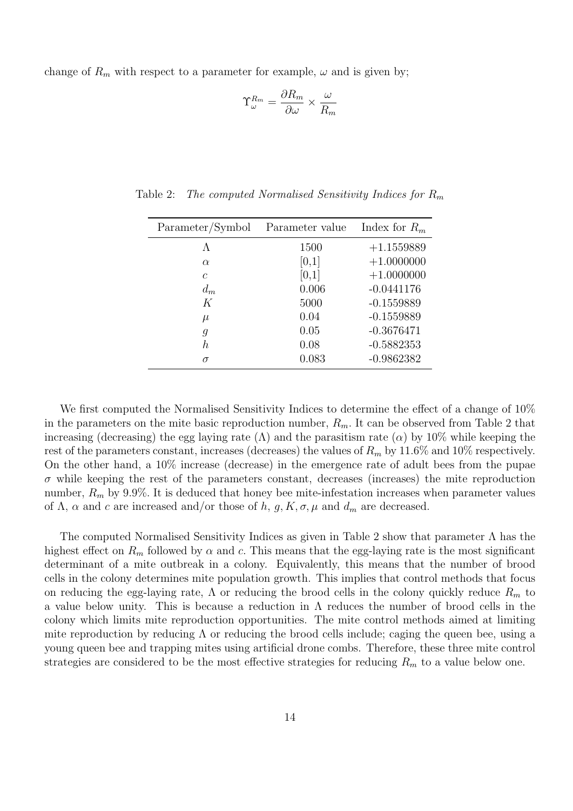change of  $R_m$  with respect to a parameter for example,  $\omega$  and is given by;

$$
\Upsilon^{R_m}_{\omega} = \frac{\partial R_m}{\partial \omega} \times \frac{\omega}{R_m}
$$

| Parameter/Symbol | Parameter value | Index for $R_m$ |
|------------------|-----------------|-----------------|
| Λ                | 1500            | $+1.1559889$    |
| $\alpha$         | [0,1]           | $+1.0000000$    |
| $\mathcal{C}$    | [0,1]           | $+1.0000000$    |
| $d_m$            | 0.006           | $-0.0441176$    |
| K                | 5000            | $-0.1559889$    |
| $\mu$            | 0.04            | $-0.1559889$    |
| g                | 0.05            | $-0.3676471$    |
| h.               | 0.08            | $-0.5882353$    |
| σ                | 0.083           | $-0.9862382$    |

Table 2: The computed Normalised Sensitivity Indices for  $R_m$ 

We first computed the Normalised Sensitivity Indices to determine the effect of a change of  $10\%$ in the parameters on the mite basic reproduction number,  $R_m$ . It can be observed from Table 2 that increasing (decreasing) the egg laying rate  $(\Lambda)$  and the parasitism rate  $(\alpha)$  by 10% while keeping the rest of the parameters constant, increases (decreases) the values of  $R_m$  by 11.6% and 10% respectively. On the other hand, a 10% increase (decrease) in the emergence rate of adult bees from the pupae  $\sigma$  while keeping the rest of the parameters constant, decreases (increases) the mite reproduction number,  $R_m$  by 9.9%. It is deduced that honey bee mite-infestation increases when parameter values of  $\Lambda$ ,  $\alpha$  and c are increased and/or those of h, g, K,  $\sigma$ ,  $\mu$  and  $d_m$  are decreased.

The computed Normalised Sensitivity Indices as given in Table 2 show that parameter Λ has the highest effect on  $R_m$  followed by  $\alpha$  and c. This means that the egg-laying rate is the most significant determinant of a mite outbreak in a colony. Equivalently, this means that the number of brood cells in the colony determines mite population growth. This implies that control methods that focus on reducing the egg-laying rate,  $\Lambda$  or reducing the brood cells in the colony quickly reduce  $R_m$  to a value below unity. This is because a reduction in  $\Lambda$  reduces the number of brood cells in the colony which limits mite reproduction opportunities. The mite control methods aimed at limiting mite reproduction by reducing  $\Lambda$  or reducing the brood cells include; caging the queen bee, using a young queen bee and trapping mites using artificial drone combs. Therefore, these three mite control strategies are considered to be the most effective strategies for reducing  $R_m$  to a value below one.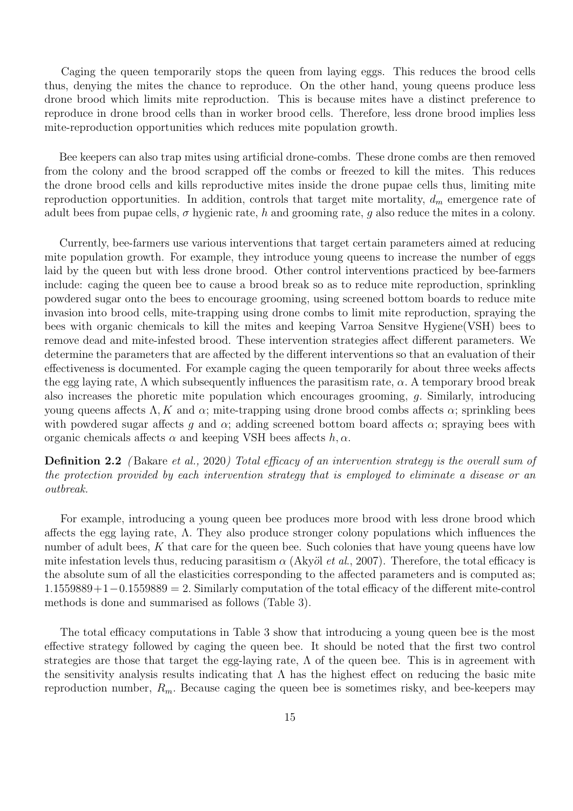Caging the queen temporarily stops the queen from laying eggs. This reduces the brood cells thus, denying the mites the chance to reproduce. On the other hand, young queens produce less drone brood which limits mite reproduction. This is because mites have a distinct preference to reproduce in drone brood cells than in worker brood cells. Therefore, less drone brood implies less mite-reproduction opportunities which reduces mite population growth.

Bee keepers can also trap mites using artificial drone-combs. These drone combs are then removed from the colony and the brood scrapped off the combs or freezed to kill the mites. This reduces the drone brood cells and kills reproductive mites inside the drone pupae cells thus, limiting mite reproduction opportunities. In addition, controls that target mite mortality,  $d_m$  emergence rate of adult bees from pupae cells,  $\sigma$  hygienic rate, h and grooming rate, q also reduce the mites in a colony.

Currently, bee-farmers use various interventions that target certain parameters aimed at reducing mite population growth. For example, they introduce young queens to increase the number of eggs laid by the queen but with less drone brood. Other control interventions practiced by bee-farmers include: caging the queen bee to cause a brood break so as to reduce mite reproduction, sprinkling powdered sugar onto the bees to encourage grooming, using screened bottom boards to reduce mite invasion into brood cells, mite-trapping using drone combs to limit mite reproduction, spraying the bees with organic chemicals to kill the mites and keeping Varroa Sensitve Hygiene(VSH) bees to remove dead and mite-infested brood. These intervention strategies affect different parameters. We determine the parameters that are affected by the different interventions so that an evaluation of their effectiveness is documented. For example caging the queen temporarily for about three weeks affects the egg laying rate,  $\Lambda$  which subsequently influences the parasitism rate,  $\alpha$ . A temporary brood break also increases the phoretic mite population which encourages grooming, g. Similarly, introducing young queens affects  $\Lambda$ , K and  $\alpha$ ; mite-trapping using drone brood combs affects  $\alpha$ ; sprinkling bees with powdered sugar affects q and  $\alpha$ ; adding screened bottom board affects  $\alpha$ ; spraying bees with organic chemicals affects  $\alpha$  and keeping VSH bees affects  $h, \alpha$ .

Definition 2.2 (Bakare et al., 2020) Total efficacy of an intervention strategy is the overall sum of the protection provided by each intervention strategy that is employed to eliminate a disease or an outbreak.

For example, introducing a young queen bee produces more brood with less drone brood which affects the egg laying rate, Λ. They also produce stronger colony populations which influences the number of adult bees,  $K$  that care for the queen bee. Such colonies that have young queens have low mite infestation levels thus, reducing parasitism  $\alpha$  (Akyöl *et al.*, 2007). Therefore, the total efficacy is the absolute sum of all the elasticities corresponding to the affected parameters and is computed as; 1.1559889+1−0.1559889 = 2. Similarly computation of the total efficacy of the different mite-control methods is done and summarised as follows (Table 3).

The total efficacy computations in Table 3 show that introducing a young queen bee is the most effective strategy followed by caging the queen bee. It should be noted that the first two control strategies are those that target the egg-laying rate,  $\Lambda$  of the queen bee. This is in agreement with the sensitivity analysis results indicating that  $\Lambda$  has the highest effect on reducing the basic mite reproduction number,  $R_m$ . Because caging the queen bee is sometimes risky, and bee-keepers may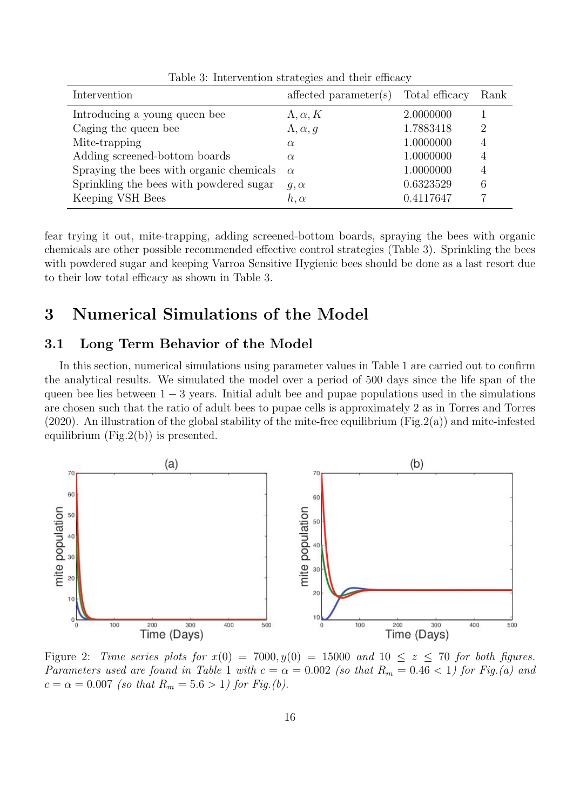| Intervention                             | $affected$ parameter $(s)$ | Total efficacy | Rank                        |
|------------------------------------------|----------------------------|----------------|-----------------------------|
| Introducing a young queen bee            | $\Lambda, \alpha, K$       | 2.0000000      |                             |
| Caging the queen bee                     | $\Lambda, \alpha, g$       | 1.7883418      | $\mathcal{D}_{\mathcal{L}}$ |
| Mite-trapping                            | $\alpha$                   | 1.0000000      | $\overline{4}$              |
| Adding screened-bottom boards            | $\alpha$                   | 1.0000000      | 4                           |
| Spraying the bees with organic chemicals | $\alpha$                   | 1.0000000      | 4                           |
| Sprinkling the bees with powdered sugar  | $q, \alpha$                | 0.6323529      | 6                           |
| Keeping VSH Bees                         | $h, \alpha$                | 0.4117647      |                             |

Table 3: Intervention strategies and their efficacy

fear trying it out, mite-trapping, adding screened-bottom boards, spraying the bees with organic chemicals are other possible recommended effective control strategies (Table 3). Sprinkling the bees with powdered sugar and keeping Varroa Sensitive Hygienic bees should be done as a last resort due to their low total efficacy as shown in Table 3.

# 3 Numerical Simulations of the Model

## 3.1 Long Term Behavior of the Model

In this section, numerical simulations using parameter values in Table 1 are carried out to confirm the analytical results. We simulated the model over a period of 500 days since the life span of the queen bee lies between  $1 - 3$  years. Initial adult bee and pupae populations used in the simulations are chosen such that the ratio of adult bees to pupae cells is approximately 2 as in Torres and Torres (2020). An illustration of the global stability of the mite-free equilibrium (Fig.2(a)) and mite-infested equilibrium  $(Fig.2(b))$  is presented.



Figure 2: Time series plots for  $x(0) = 7000, y(0) = 15000$  and  $10 \le z \le 70$  for both figures. Parameters used are found in Table 1 with  $c = \alpha = 0.002$  (so that  $R_m = 0.46 < 1$ ) for Fig.(a) and  $c = \alpha = 0.007$  (so that  $R_m = 5.6 > 1$ ) for Fig.(b).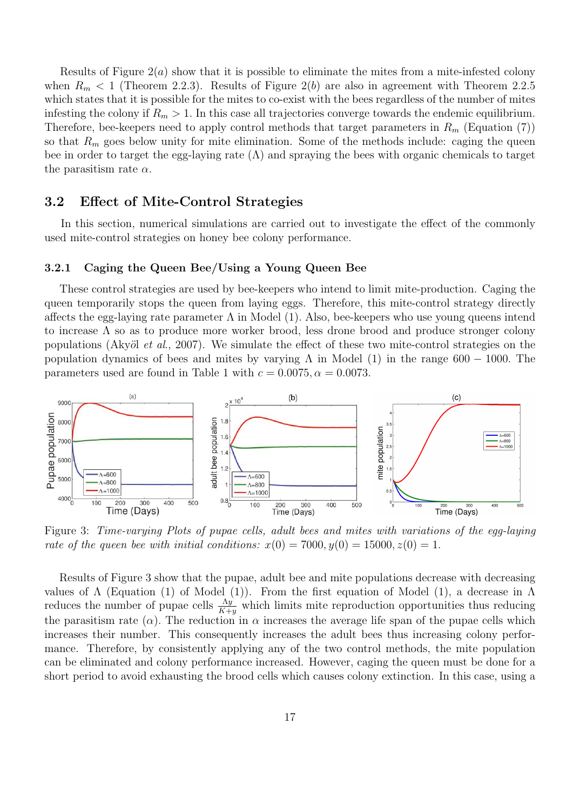Results of Figure  $2(a)$  show that it is possible to eliminate the mites from a mite-infested colony when  $R_m < 1$  (Theorem 2.2.3). Results of Figure 2(b) are also in agreement with Theorem 2.2.5 which states that it is possible for the mites to co-exist with the bees regardless of the number of mites infesting the colony if  $R_m > 1$ . In this case all trajectories converge towards the endemic equilibrium. Therefore, bee-keepers need to apply control methods that target parameters in  $R_m$  (Equation (7)) so that  $R_m$  goes below unity for mite elimination. Some of the methods include: caging the queen bee in order to target the egg-laying rate  $(\Lambda)$  and spraying the bees with organic chemicals to target the parasitism rate  $\alpha$ .

## 3.2 Effect of Mite-Control Strategies

In this section, numerical simulations are carried out to investigate the effect of the commonly used mite-control strategies on honey bee colony performance.

## 3.2.1 Caging the Queen Bee/Using a Young Queen Bee

These control strategies are used by bee-keepers who intend to limit mite-production. Caging the queen temporarily stops the queen from laying eggs. Therefore, this mite-control strategy directly affects the egg-laying rate parameter  $\Lambda$  in Model (1). Also, bee-keepers who use young queens intend to increase  $\Lambda$  so as to produce more worker brood, less drone brood and produce stronger colony populations (Akyöl et al., 2007). We simulate the effect of these two mite-control strategies on the population dynamics of bees and mites by varying  $\Lambda$  in Model (1) in the range 600 – 1000. The parameters used are found in Table 1 with  $c = 0.0075$ ,  $\alpha = 0.0073$ .



Figure 3: Time-varying Plots of pupae cells, adult bees and mites with variations of the egg-laying rate of the queen bee with initial conditions:  $x(0) = 7000, y(0) = 15000, z(0) = 1$ .

Results of Figure 3 show that the pupae, adult bee and mite populations decrease with decreasing values of  $\Lambda$  (Equation (1) of Model (1)). From the first equation of Model (1), a decrease in  $\Lambda$ reduces the number of pupae cells  $\frac{\Lambda y}{K+y}$  which limits mite reproduction opportunities thus reducing the parasitism rate ( $\alpha$ ). The reduction in  $\alpha$  increases the average life span of the pupae cells which increases their number. This consequently increases the adult bees thus increasing colony performance. Therefore, by consistently applying any of the two control methods, the mite population can be eliminated and colony performance increased. However, caging the queen must be done for a short period to avoid exhausting the brood cells which causes colony extinction. In this case, using a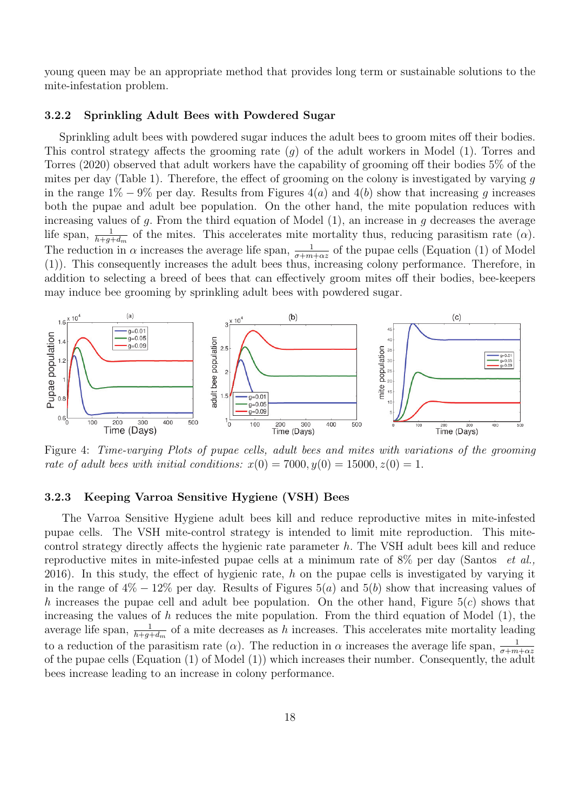young queen may be an appropriate method that provides long term or sustainable solutions to the mite-infestation problem.

#### 3.2.2 Sprinkling Adult Bees with Powdered Sugar

Sprinkling adult bees with powdered sugar induces the adult bees to groom mites off their bodies. This control strategy affects the grooming rate (g) of the adult workers in Model (1). Torres and Torres (2020) observed that adult workers have the capability of grooming off their bodies 5% of the mites per day (Table 1). Therefore, the effect of grooming on the colony is investigated by varying g in the range  $1\% - 9\%$  per day. Results from Figures  $4(a)$  and  $4(b)$  show that increasing q increases both the pupae and adult bee population. On the other hand, the mite population reduces with increasing values of q. From the third equation of Model  $(1)$ , an increase in q decreases the average life span,  $\frac{1}{h+g+d_m}$  of the mites. This accelerates mite mortality thus, reducing parasitism rate  $(\alpha)$ . The reduction in  $\alpha$  increases the average life span,  $\frac{1}{\sigma+m+\alpha z}$  of the pupae cells (Equation (1) of Model (1)). This consequently increases the adult bees thus, increasing colony performance. Therefore, in addition to selecting a breed of bees that can effectively groom mites off their bodies, bee-keepers may induce bee grooming by sprinkling adult bees with powdered sugar.



Figure 4: Time-varying Plots of pupae cells, adult bees and mites with variations of the grooming rate of adult bees with initial conditions:  $x(0) = 7000, y(0) = 15000, z(0) = 1$ .

#### 3.2.3 Keeping Varroa Sensitive Hygiene (VSH) Bees

The Varroa Sensitive Hygiene adult bees kill and reduce reproductive mites in mite-infested pupae cells. The VSH mite-control strategy is intended to limit mite reproduction. This mitecontrol strategy directly affects the hygienic rate parameter h. The VSH adult bees kill and reduce reproductive mites in mite-infested pupae cells at a minimum rate of  $8\%$  per day (Santos *et al.*, 2016). In this study, the effect of hygienic rate, h on the pupae cells is investigated by varying it in the range of  $4\% - 12\%$  per day. Results of Figures 5(a) and 5(b) show that increasing values of h increases the pupae cell and adult bee population. On the other hand, Figure  $5(c)$  shows that increasing the values of  $h$  reduces the mite population. From the third equation of Model  $(1)$ , the average life span,  $\frac{1}{h+g+d_m}$  of a mite decreases as h increases. This accelerates mite mortality leading to a reduction of the parasitism rate ( $\alpha$ ). The reduction in  $\alpha$  increases the average life span,  $\frac{1}{\sigma+m+\alpha z}$ of the pupae cells (Equation (1) of Model (1)) which increases their number. Consequently, the adult bees increase leading to an increase in colony performance.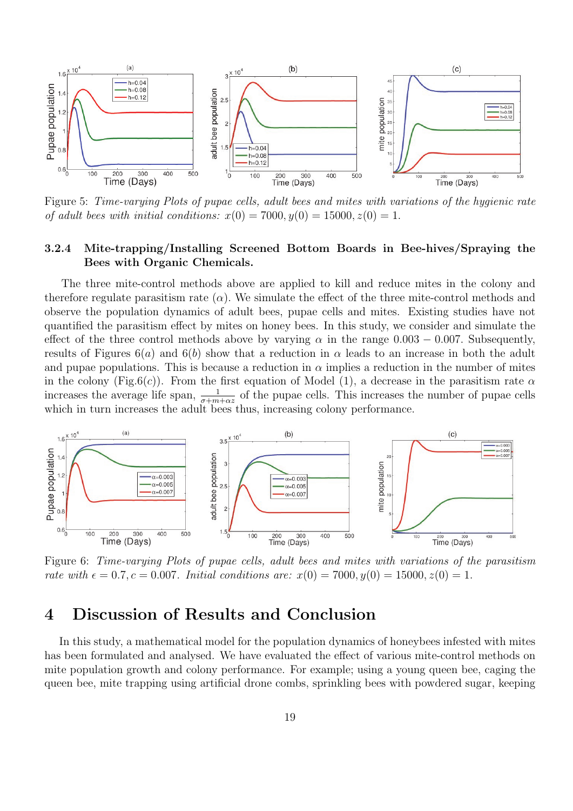

Figure 5: Time-varying Plots of pupae cells, adult bees and mites with variations of the hygienic rate of adult bees with initial conditions:  $x(0) = 7000, y(0) = 15000, z(0) = 1$ .

## 3.2.4 Mite-trapping/Installing Screened Bottom Boards in Bee-hives/Spraying the Bees with Organic Chemicals.

The three mite-control methods above are applied to kill and reduce mites in the colony and therefore regulate parasitism rate  $(\alpha)$ . We simulate the effect of the three mite-control methods and observe the population dynamics of adult bees, pupae cells and mites. Existing studies have not quantified the parasitism effect by mites on honey bees. In this study, we consider and simulate the effect of the three control methods above by varying  $\alpha$  in the range 0.003 – 0.007. Subsequently, results of Figures  $6(a)$  and  $6(b)$  show that a reduction in  $\alpha$  leads to an increase in both the adult and pupae populations. This is because a reduction in  $\alpha$  implies a reduction in the number of mites in the colony (Fig.6(c)). From the first equation of Model (1), a decrease in the parasitism rate  $\alpha$ increases the average life span,  $\frac{1}{\sigma+m+\alpha z}$  of the pupae cells. This increases the number of pupae cells which in turn increases the adult bees thus, increasing colony performance.



Figure 6: Time-varying Plots of pupae cells, adult bees and mites with variations of the parasitism rate with  $\epsilon = 0.7$ ,  $c = 0.007$ . Initial conditions are:  $x(0) = 7000$ ,  $y(0) = 15000$ ,  $z(0) = 1$ .

# 4 Discussion of Results and Conclusion

In this study, a mathematical model for the population dynamics of honeybees infested with mites has been formulated and analysed. We have evaluated the effect of various mite-control methods on mite population growth and colony performance. For example; using a young queen bee, caging the queen bee, mite trapping using artificial drone combs, sprinkling bees with powdered sugar, keeping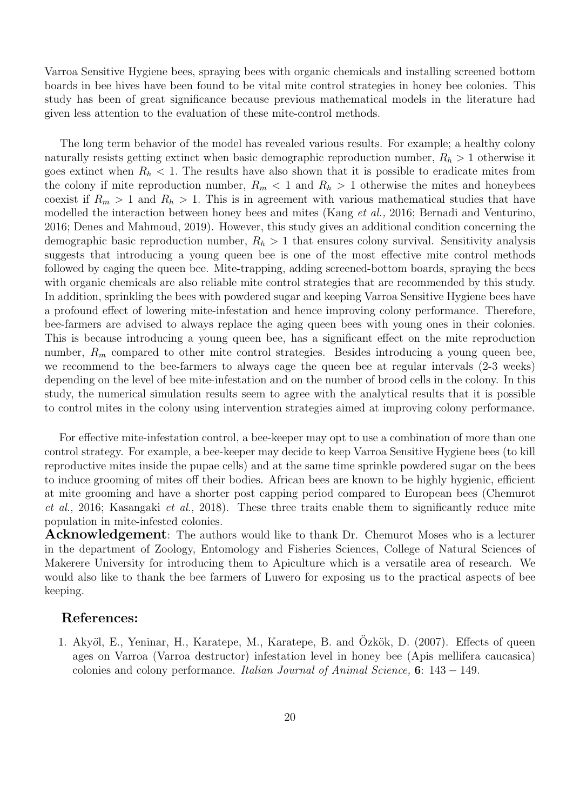Varroa Sensitive Hygiene bees, spraying bees with organic chemicals and installing screened bottom boards in bee hives have been found to be vital mite control strategies in honey bee colonies. This study has been of great significance because previous mathematical models in the literature had given less attention to the evaluation of these mite-control methods.

The long term behavior of the model has revealed various results. For example; a healthy colony naturally resists getting extinct when basic demographic reproduction number,  $R_h > 1$  otherwise it goes extinct when  $R_h < 1$ . The results have also shown that it is possible to eradicate mites from the colony if mite reproduction number,  $R_m < 1$  and  $R_h > 1$  otherwise the mites and honeybees coexist if  $R_m > 1$  and  $R_h > 1$ . This is in agreement with various mathematical studies that have modelled the interaction between honey bees and mites (Kang et al., 2016; Bernadi and Venturino, 2016; Denes and Mahmoud, 2019). However, this study gives an additional condition concerning the demographic basic reproduction number,  $R_h > 1$  that ensures colony survival. Sensitivity analysis suggests that introducing a young queen bee is one of the most effective mite control methods followed by caging the queen bee. Mite-trapping, adding screened-bottom boards, spraying the bees with organic chemicals are also reliable mite control strategies that are recommended by this study. In addition, sprinkling the bees with powdered sugar and keeping Varroa Sensitive Hygiene bees have a profound effect of lowering mite-infestation and hence improving colony performance. Therefore, bee-farmers are advised to always replace the aging queen bees with young ones in their colonies. This is because introducing a young queen bee, has a significant effect on the mite reproduction number,  $R_m$  compared to other mite control strategies. Besides introducing a young queen bee, we recommend to the bee-farmers to always cage the queen bee at regular intervals (2-3 weeks) depending on the level of bee mite-infestation and on the number of brood cells in the colony. In this study, the numerical simulation results seem to agree with the analytical results that it is possible to control mites in the colony using intervention strategies aimed at improving colony performance.

For effective mite-infestation control, a bee-keeper may opt to use a combination of more than one control strategy. For example, a bee-keeper may decide to keep Varroa Sensitive Hygiene bees (to kill reproductive mites inside the pupae cells) and at the same time sprinkle powdered sugar on the bees to induce grooming of mites off their bodies. African bees are known to be highly hygienic, efficient at mite grooming and have a shorter post capping period compared to European bees (Chemurot et al., 2016; Kasangaki et al., 2018). These three traits enable them to significantly reduce mite population in mite-infested colonies.

**Acknowledgement**: The authors would like to thank Dr. Chemurot Moses who is a lecturer in the department of Zoology, Entomology and Fisheries Sciences, College of Natural Sciences of Makerere University for introducing them to Apiculture which is a versatile area of research. We would also like to thank the bee farmers of Luwero for exposing us to the practical aspects of bee keeping.

## References:

1. Akyöl, E., Yeninar, H., Karatepe, M., Karatepe, B. and Özkök, D. (2007). Effects of queen ages on Varroa (Varroa destructor) infestation level in honey bee (Apis mellifera caucasica) colonies and colony performance. Italian Journal of Animal Science,  $6: 143 - 149$ .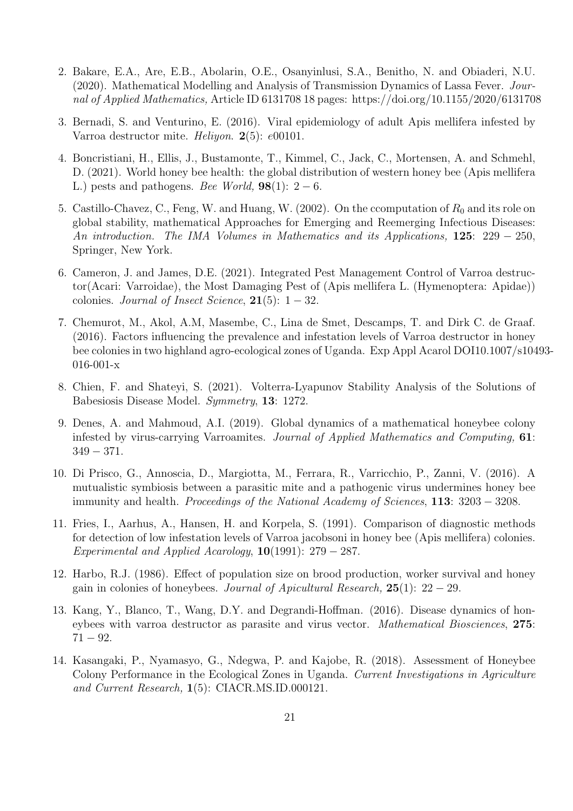- 2. Bakare, E.A., Are, E.B., Abolarin, O.E., Osanyinlusi, S.A., Benitho, N. and Obiaderi, N.U. (2020). Mathematical Modelling and Analysis of Transmission Dynamics of Lassa Fever. Journal of Applied Mathematics, Article ID 6131708 18 pages: https://doi.org/10.1155/2020/6131708
- 3. Bernadi, S. and Venturino, E. (2016). Viral epidemiology of adult Apis mellifera infested by Varroa destructor mite. Heliyon. 2(5): e00101.
- 4. Boncristiani, H., Ellis, J., Bustamonte, T., Kimmel, C., Jack, C., Mortensen, A. and Schmehl, D. (2021). World honey bee health: the global distribution of western honey bee (Apis mellifera L.) pests and pathogens. Bee World,  $98(1)$ : 2 – 6.
- 5. Castillo-Chavez, C., Feng, W. and Huang, W. (2002). On the ccomputation of  $R_0$  and its role on global stability, mathematical Approaches for Emerging and Reemerging Infectious Diseases: An introduction. The IMA Volumes in Mathematics and its Applications, 125: 229 − 250, Springer, New York.
- 6. Cameron, J. and James, D.E. (2021). Integrated Pest Management Control of Varroa destructor(Acari: Varroidae), the Most Damaging Pest of (Apis mellifera L. (Hymenoptera: Apidae)) colonies. Journal of Insect Science,  $21(5): 1-32$ .
- 7. Chemurot, M., Akol, A.M, Masembe, C., Lina de Smet, Descamps, T. and Dirk C. de Graaf. (2016). Factors influencing the prevalence and infestation levels of Varroa destructor in honey bee colonies in two highland agro-ecological zones of Uganda. Exp Appl Acarol DOI10.1007/s10493- 016-001-x
- 8. Chien, F. and Shateyi, S. (2021). Volterra-Lyapunov Stability Analysis of the Solutions of Babesiosis Disease Model. Symmetry, 13: 1272.
- 9. Denes, A. and Mahmoud, A.I. (2019). Global dynamics of a mathematical honeybee colony infested by virus-carrying Varroamites. Journal of Applied Mathematics and Computing, 61: 349 − 371.
- 10. Di Prisco, G., Annoscia, D., Margiotta, M., Ferrara, R., Varricchio, P., Zanni, V. (2016). A mutualistic symbiosis between a parasitic mite and a pathogenic virus undermines honey bee immunity and health. Proceedings of the National Academy of Sciences, 113: 3203 − 3208.
- 11. Fries, I., Aarhus, A., Hansen, H. and Korpela, S. (1991). Comparison of diagnostic methods for detection of low infestation levels of Varroa jacobsoni in honey bee (Apis mellifera) colonies. Experimental and Applied Acarology,  $10(1991)$ : 279 – 287.
- 12. Harbo, R.J. (1986). Effect of population size on brood production, worker survival and honey gain in colonies of honeybees. Journal of Apicultural Research,  $25(1): 22 - 29$ .
- 13. Kang, Y., Blanco, T., Wang, D.Y. and Degrandi-Hoffman. (2016). Disease dynamics of honeybees with varroa destructor as parasite and virus vector. Mathematical Biosciences, 275:  $71 - 92.$
- 14. Kasangaki, P., Nyamasyo, G., Ndegwa, P. and Kajobe, R. (2018). Assessment of Honeybee Colony Performance in the Ecological Zones in Uganda. Current Investigations in Agriculture and Current Research, 1(5): CIACR.MS.ID.000121.